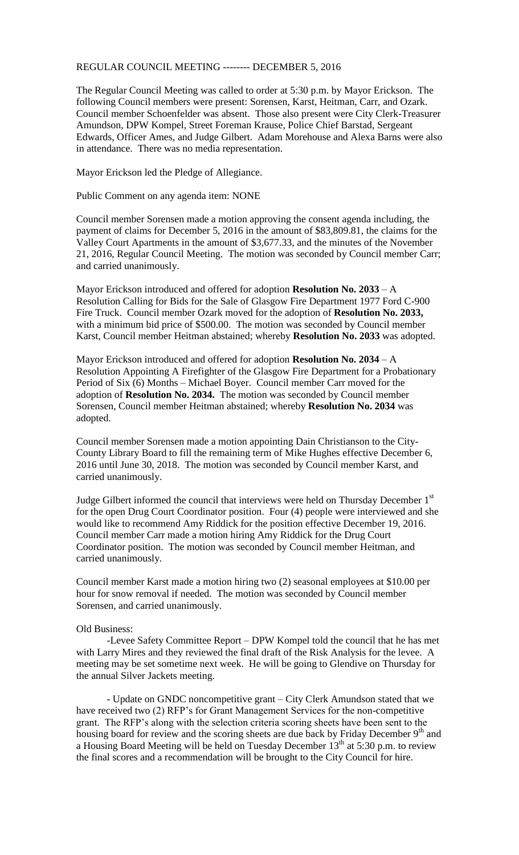## REGULAR COUNCIL MEETING -------- DECEMBER 5, 2016

The Regular Council Meeting was called to order at 5:30 p.m. by Mayor Erickson. The following Council members were present: Sorensen, Karst, Heitman, Carr, and Ozark. Council member Schoenfelder was absent. Those also present were City Clerk-Treasurer Amundson, DPW Kompel, Street Foreman Krause, Police Chief Barstad, Sergeant Edwards, Officer Ames, and Judge Gilbert. Adam Morehouse and Alexa Barns were also in attendance. There was no media representation.

Mayor Erickson led the Pledge of Allegiance.

Public Comment on any agenda item: NONE

Council member Sorensen made a motion approving the consent agenda including, the payment of claims for December 5, 2016 in the amount of \$83,809.81, the claims for the Valley Court Apartments in the amount of \$3,677.33, and the minutes of the November 21, 2016, Regular Council Meeting. The motion was seconded by Council member Carr; and carried unanimously.

Mayor Erickson introduced and offered for adoption **Resolution No. 2033** – A Resolution Calling for Bids for the Sale of Glasgow Fire Department 1977 Ford C-900 Fire Truck. Council member Ozark moved for the adoption of **Resolution No. 2033,**  with a minimum bid price of \$500.00. The motion was seconded by Council member Karst, Council member Heitman abstained; whereby **Resolution No. 2033** was adopted.

Mayor Erickson introduced and offered for adoption **Resolution No. 2034** – A Resolution Appointing A Firefighter of the Glasgow Fire Department for a Probationary Period of Six (6) Months – Michael Boyer. Council member Carr moved for the adoption of **Resolution No. 2034.** The motion was seconded by Council member Sorensen, Council member Heitman abstained; whereby **Resolution No. 2034** was adopted.

Council member Sorensen made a motion appointing Dain Christianson to the City-County Library Board to fill the remaining term of Mike Hughes effective December 6, 2016 until June 30, 2018. The motion was seconded by Council member Karst, and carried unanimously.

Judge Gilbert informed the council that interviews were held on Thursday December 1<sup>st</sup> for the open Drug Court Coordinator position. Four (4) people were interviewed and she would like to recommend Amy Riddick for the position effective December 19, 2016. Council member Carr made a motion hiring Amy Riddick for the Drug Court Coordinator position. The motion was seconded by Council member Heitman, and carried unanimously.

Council member Karst made a motion hiring two (2) seasonal employees at \$10.00 per hour for snow removal if needed. The motion was seconded by Council member Sorensen, and carried unanimously.

## Old Business:

-Levee Safety Committee Report – DPW Kompel told the council that he has met with Larry Mires and they reviewed the final draft of the Risk Analysis for the levee. A meeting may be set sometime next week. He will be going to Glendive on Thursday for the annual Silver Jackets meeting.

- Update on GNDC noncompetitive grant – City Clerk Amundson stated that we have received two (2) RFP's for Grant Management Services for the non-competitive grant. The RFP's along with the selection criteria scoring sheets have been sent to the housing board for review and the scoring sheets are due back by Friday December 9<sup>th</sup> and a Housing Board Meeting will be held on Tuesday December  $13<sup>th</sup>$  at 5:30 p.m. to review the final scores and a recommendation will be brought to the City Council for hire.